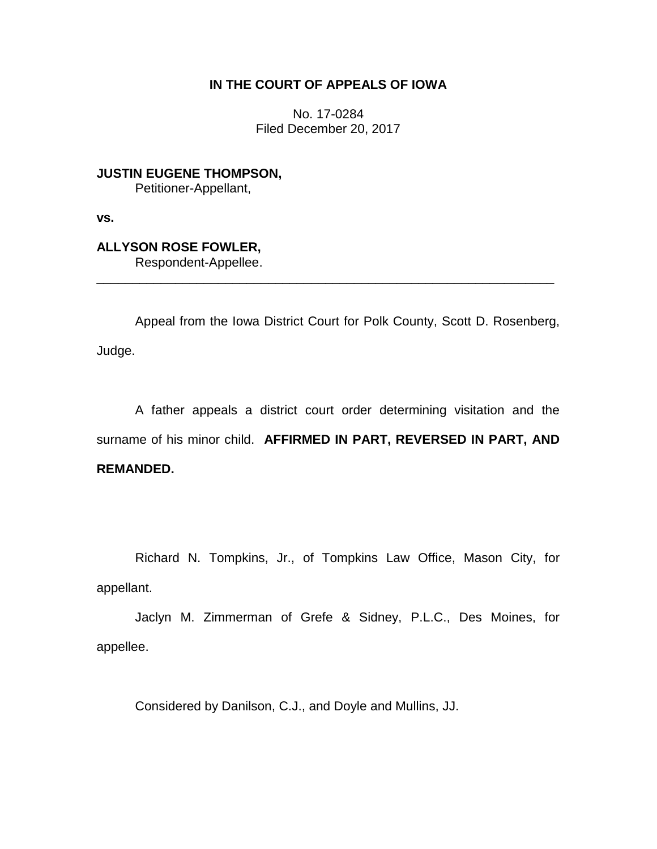## **IN THE COURT OF APPEALS OF IOWA**

No. 17-0284 Filed December 20, 2017

**JUSTIN EUGENE THOMPSON,** Petitioner-Appellant,

**vs.**

# **ALLYSON ROSE FOWLER,**

Respondent-Appellee.

Appeal from the Iowa District Court for Polk County, Scott D. Rosenberg, Judge.

\_\_\_\_\_\_\_\_\_\_\_\_\_\_\_\_\_\_\_\_\_\_\_\_\_\_\_\_\_\_\_\_\_\_\_\_\_\_\_\_\_\_\_\_\_\_\_\_\_\_\_\_\_\_\_\_\_\_\_\_\_\_\_\_

A father appeals a district court order determining visitation and the surname of his minor child. **AFFIRMED IN PART, REVERSED IN PART, AND REMANDED.**

Richard N. Tompkins, Jr., of Tompkins Law Office, Mason City, for appellant.

Jaclyn M. Zimmerman of Grefe & Sidney, P.L.C., Des Moines, for appellee.

Considered by Danilson, C.J., and Doyle and Mullins, JJ.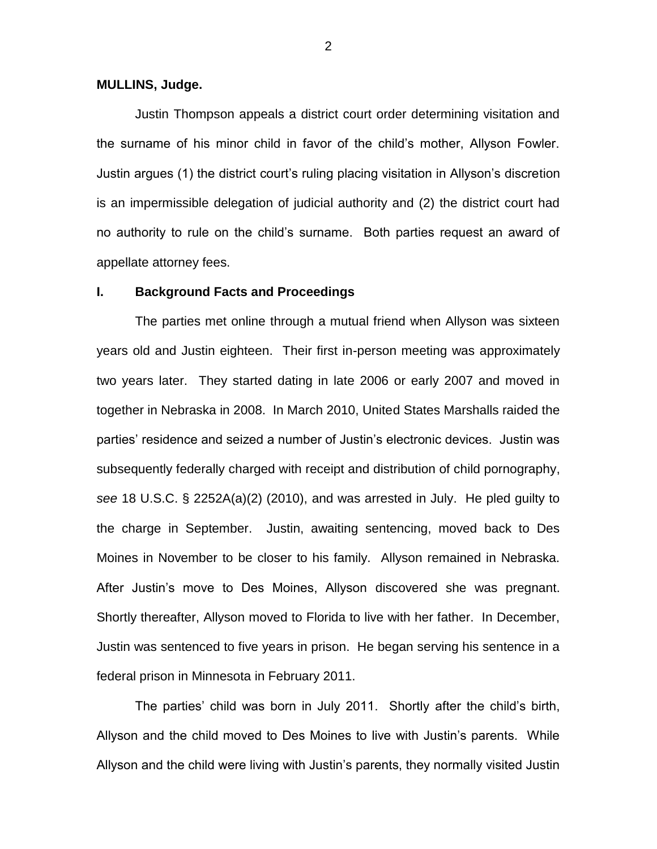#### **MULLINS, Judge.**

Justin Thompson appeals a district court order determining visitation and the surname of his minor child in favor of the child's mother, Allyson Fowler. Justin argues (1) the district court's ruling placing visitation in Allyson's discretion is an impermissible delegation of judicial authority and (2) the district court had no authority to rule on the child's surname. Both parties request an award of appellate attorney fees.

#### **I. Background Facts and Proceedings**

The parties met online through a mutual friend when Allyson was sixteen years old and Justin eighteen. Their first in-person meeting was approximately two years later. They started dating in late 2006 or early 2007 and moved in together in Nebraska in 2008. In March 2010, United States Marshalls raided the parties' residence and seized a number of Justin's electronic devices. Justin was subsequently federally charged with receipt and distribution of child pornography, *see* 18 U.S.C. § 2252A(a)(2) (2010), and was arrested in July. He pled guilty to the charge in September. Justin, awaiting sentencing, moved back to Des Moines in November to be closer to his family. Allyson remained in Nebraska. After Justin's move to Des Moines, Allyson discovered she was pregnant. Shortly thereafter, Allyson moved to Florida to live with her father. In December, Justin was sentenced to five years in prison. He began serving his sentence in a federal prison in Minnesota in February 2011.

The parties' child was born in July 2011. Shortly after the child's birth, Allyson and the child moved to Des Moines to live with Justin's parents. While Allyson and the child were living with Justin's parents, they normally visited Justin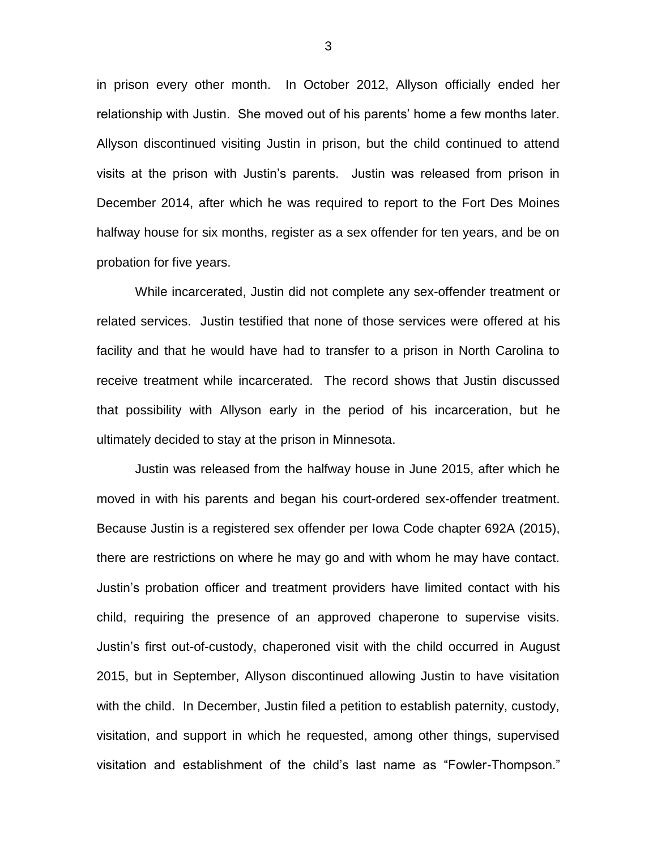in prison every other month. In October 2012, Allyson officially ended her relationship with Justin. She moved out of his parents' home a few months later. Allyson discontinued visiting Justin in prison, but the child continued to attend visits at the prison with Justin's parents. Justin was released from prison in December 2014, after which he was required to report to the Fort Des Moines halfway house for six months, register as a sex offender for ten years, and be on probation for five years.

While incarcerated, Justin did not complete any sex-offender treatment or related services. Justin testified that none of those services were offered at his facility and that he would have had to transfer to a prison in North Carolina to receive treatment while incarcerated. The record shows that Justin discussed that possibility with Allyson early in the period of his incarceration, but he ultimately decided to stay at the prison in Minnesota.

Justin was released from the halfway house in June 2015, after which he moved in with his parents and began his court-ordered sex-offender treatment. Because Justin is a registered sex offender per Iowa Code chapter 692A (2015), there are restrictions on where he may go and with whom he may have contact. Justin's probation officer and treatment providers have limited contact with his child, requiring the presence of an approved chaperone to supervise visits. Justin's first out-of-custody, chaperoned visit with the child occurred in August 2015, but in September, Allyson discontinued allowing Justin to have visitation with the child. In December, Justin filed a petition to establish paternity, custody, visitation, and support in which he requested, among other things, supervised visitation and establishment of the child's last name as "Fowler-Thompson."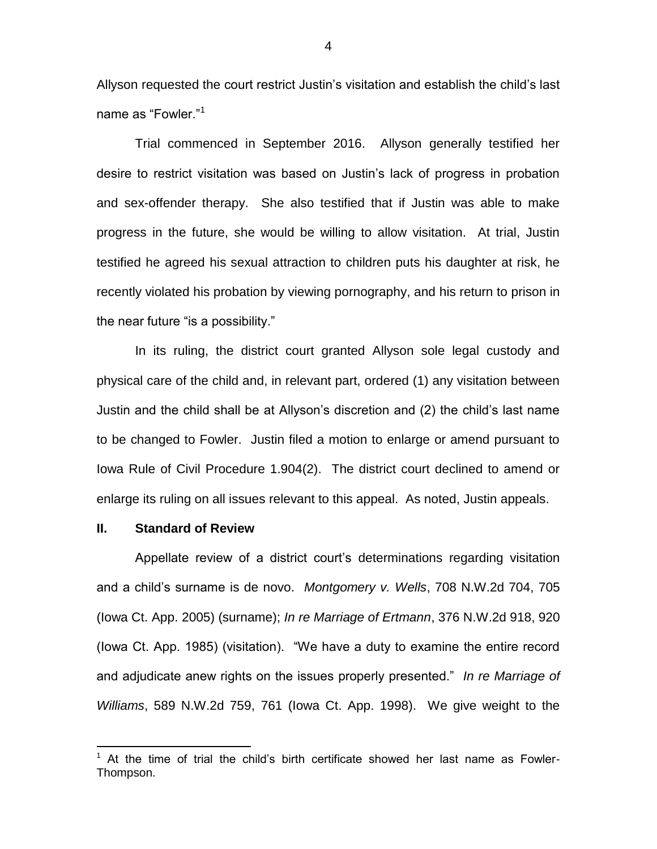Allyson requested the court restrict Justin's visitation and establish the child's last name as "Fowler."<sup>1</sup>

Trial commenced in September 2016. Allyson generally testified her desire to restrict visitation was based on Justin's lack of progress in probation and sex-offender therapy. She also testified that if Justin was able to make progress in the future, she would be willing to allow visitation. At trial, Justin testified he agreed his sexual attraction to children puts his daughter at risk, he recently violated his probation by viewing pornography, and his return to prison in the near future "is a possibility."

In its ruling, the district court granted Allyson sole legal custody and physical care of the child and, in relevant part, ordered (1) any visitation between Justin and the child shall be at Allyson's discretion and (2) the child's last name to be changed to Fowler. Justin filed a motion to enlarge or amend pursuant to Iowa Rule of Civil Procedure 1.904(2). The district court declined to amend or enlarge its ruling on all issues relevant to this appeal. As noted, Justin appeals.

#### **II. Standard of Review**

 $\overline{a}$ 

Appellate review of a district court's determinations regarding visitation and a child's surname is de novo. *Montgomery v. Wells*, 708 N.W.2d 704, 705 (Iowa Ct. App. 2005) (surname); *In re Marriage of Ertmann*, 376 N.W.2d 918, 920 (Iowa Ct. App. 1985) (visitation). "We have a duty to examine the entire record and adjudicate anew rights on the issues properly presented." *In re Marriage of Williams*, 589 N.W.2d 759, 761 (Iowa Ct. App. 1998). We give weight to the

<sup>1</sup> At the time of trial the child's birth certificate showed her last name as Fowler-Thompson.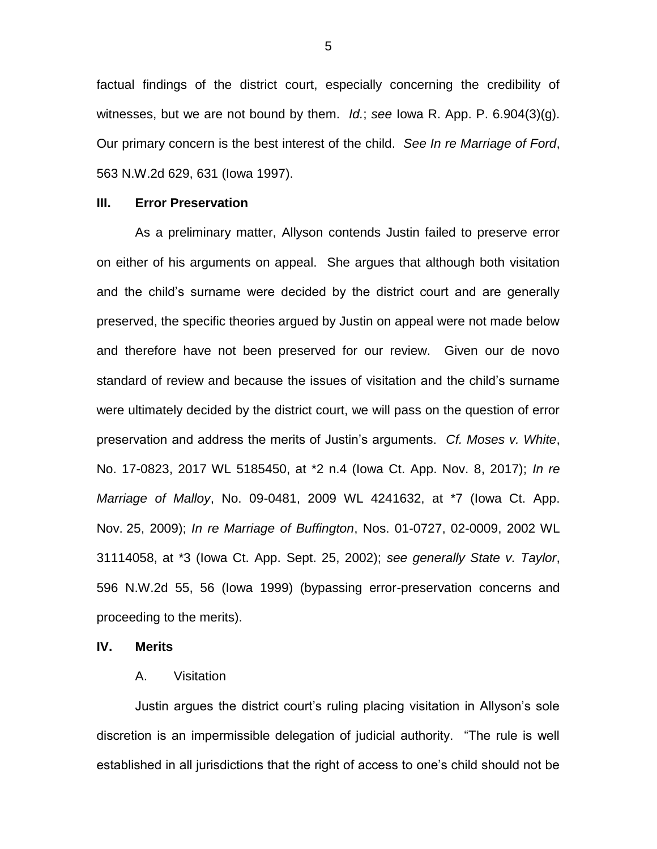factual findings of the district court, especially concerning the credibility of witnesses, but we are not bound by them. *Id.*; *see* Iowa R. App. P. 6.904(3)(g). Our primary concern is the best interest of the child. *See In re Marriage of Ford*, 563 N.W.2d 629, 631 (Iowa 1997).

#### **III. Error Preservation**

As a preliminary matter, Allyson contends Justin failed to preserve error on either of his arguments on appeal. She argues that although both visitation and the child's surname were decided by the district court and are generally preserved, the specific theories argued by Justin on appeal were not made below and therefore have not been preserved for our review. Given our de novo standard of review and because the issues of visitation and the child's surname were ultimately decided by the district court, we will pass on the question of error preservation and address the merits of Justin's arguments. *Cf. Moses v. White*, No. 17-0823, 2017 WL 5185450, at \*2 n.4 (Iowa Ct. App. Nov. 8, 2017); *In re Marriage of Malloy*, No. 09-0481, 2009 WL 4241632, at \*7 (Iowa Ct. App. Nov. 25, 2009); *In re Marriage of Buffington*, Nos. 01-0727, 02-0009, 2002 WL 31114058, at \*3 (Iowa Ct. App. Sept. 25, 2002); *see generally State v. Taylor*, 596 N.W.2d 55, 56 (Iowa 1999) (bypassing error-preservation concerns and proceeding to the merits).

#### **IV. Merits**

#### A. Visitation

Justin argues the district court's ruling placing visitation in Allyson's sole discretion is an impermissible delegation of judicial authority. "The rule is well established in all jurisdictions that the right of access to one's child should not be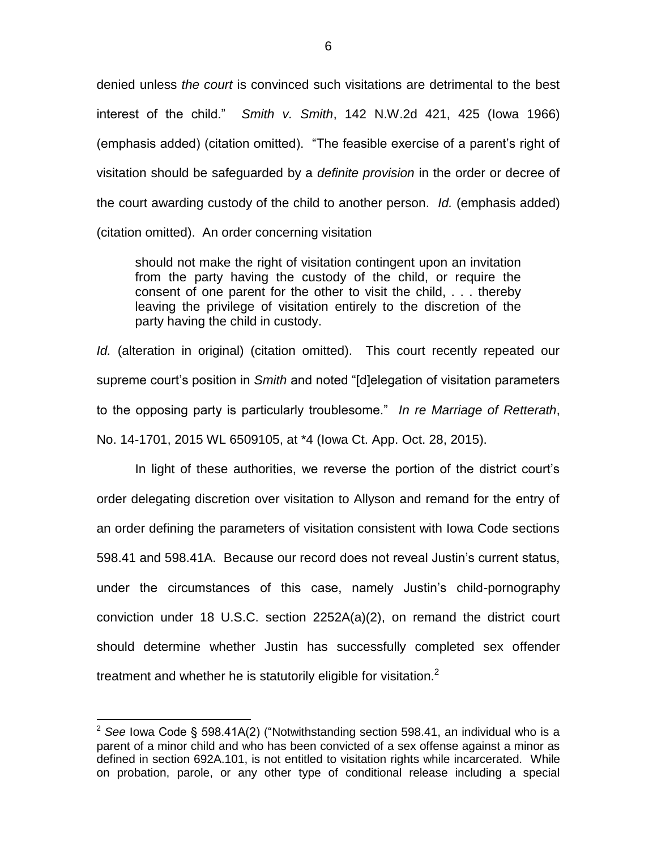denied unless *the court* is convinced such visitations are detrimental to the best interest of the child." *Smith v. Smith*, 142 N.W.2d 421, 425 (Iowa 1966) (emphasis added) (citation omitted). "The feasible exercise of a parent's right of visitation should be safeguarded by a *definite provision* in the order or decree of the court awarding custody of the child to another person. *Id.* (emphasis added) (citation omitted). An order concerning visitation

should not make the right of visitation contingent upon an invitation from the party having the custody of the child, or require the consent of one parent for the other to visit the child, . . . thereby leaving the privilege of visitation entirely to the discretion of the party having the child in custody.

*Id.* (alteration in original) (citation omitted). This court recently repeated our supreme court's position in *Smith* and noted "[d]elegation of visitation parameters to the opposing party is particularly troublesome." *In re Marriage of Retterath*, No. 14-1701, 2015 WL 6509105, at \*4 (Iowa Ct. App. Oct. 28, 2015).

In light of these authorities, we reverse the portion of the district court's order delegating discretion over visitation to Allyson and remand for the entry of an order defining the parameters of visitation consistent with Iowa Code sections 598.41 and 598.41A. Because our record does not reveal Justin's current status, under the circumstances of this case, namely Justin's child-pornography conviction under 18 U.S.C. section 2252A(a)(2), on remand the district court should determine whether Justin has successfully completed sex offender treatment and whether he is statutorily eligible for visitation.<sup>2</sup>

 $\overline{a}$ 

<sup>2</sup> *See* Iowa Code § 598.41A(2) ("Notwithstanding section 598.41, an individual who is a parent of a minor child and who has been convicted of a sex offense against a minor as defined in section 692A.101, is not entitled to visitation rights while incarcerated. While on probation, parole, or any other type of conditional release including a special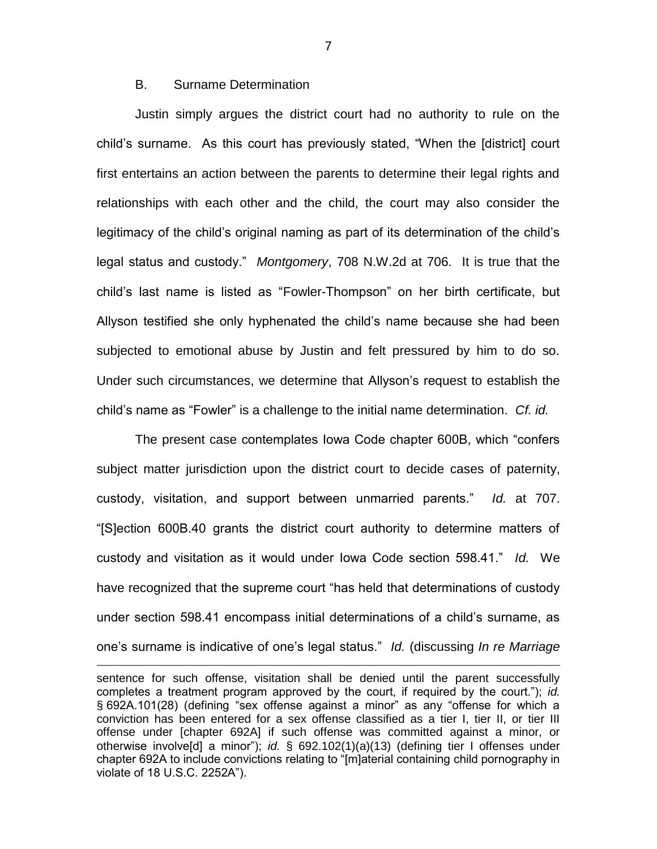## B. Surname Determination

 $\overline{a}$ 

Justin simply argues the district court had no authority to rule on the child's surname. As this court has previously stated, "When the [district] court first entertains an action between the parents to determine their legal rights and relationships with each other and the child, the court may also consider the legitimacy of the child's original naming as part of its determination of the child's legal status and custody." *Montgomery*, 708 N.W.2d at 706. It is true that the child's last name is listed as "Fowler-Thompson" on her birth certificate, but Allyson testified she only hyphenated the child's name because she had been subjected to emotional abuse by Justin and felt pressured by him to do so. Under such circumstances, we determine that Allyson's request to establish the child's name as "Fowler" is a challenge to the initial name determination. *Cf. id.*

The present case contemplates Iowa Code chapter 600B, which "confers subject matter jurisdiction upon the district court to decide cases of paternity, custody, visitation, and support between unmarried parents." *Id.* at 707. "[S]ection 600B.40 grants the district court authority to determine matters of custody and visitation as it would under Iowa Code section 598.41." *Id.* We have recognized that the supreme court "has held that determinations of custody under section 598.41 encompass initial determinations of a child's surname, as one's surname is indicative of one's legal status." *Id.* (discussing *In re Marriage* 

sentence for such offense, visitation shall be denied until the parent successfully completes a treatment program approved by the court, if required by the court."); *id.*  § 692A.101(28) (defining "sex offense against a minor" as any "offense for which a conviction has been entered for a sex offense classified as a tier I, tier II, or tier III offense under [chapter 692A] if such offense was committed against a minor, or otherwise involve[d] a minor"); *id.* § 692.102(1)(a)(13) (defining tier I offenses under chapter 692A to include convictions relating to "[m]aterial containing child pornography in violate of 18 U.S.C. 2252A").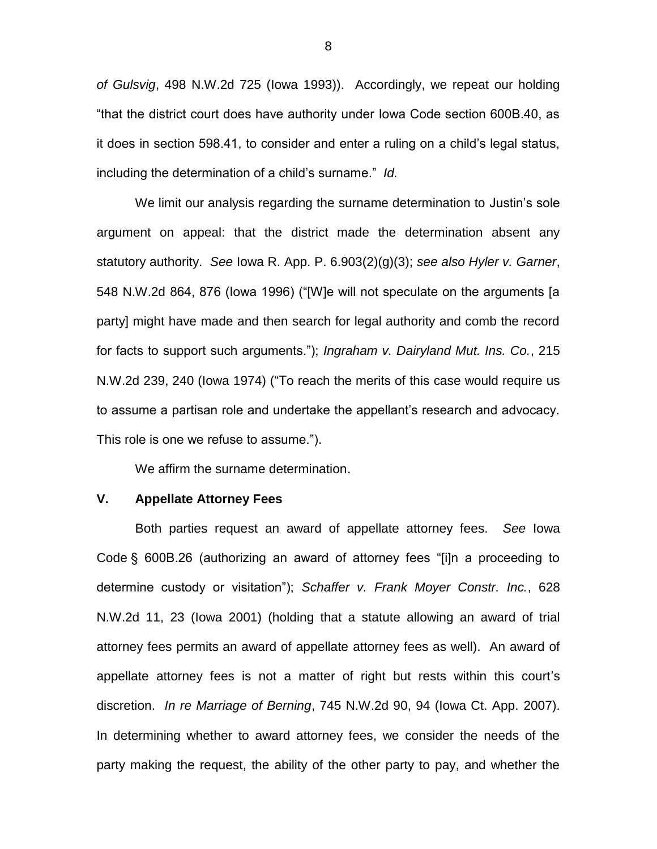*of Gulsvig*, 498 N.W.2d 725 (Iowa 1993)). Accordingly, we repeat our holding "that the district court does have authority under Iowa Code section 600B.40, as it does in section 598.41, to consider and enter a ruling on a child's legal status, including the determination of a child's surname." *Id.*

We limit our analysis regarding the surname determination to Justin's sole argument on appeal: that the district made the determination absent any statutory authority. *See* Iowa R. App. P. 6.903(2)(g)(3); *see also Hyler v. Garner*, 548 N.W.2d 864, 876 (Iowa 1996) ("[W]e will not speculate on the arguments [a party] might have made and then search for legal authority and comb the record for facts to support such arguments."); *Ingraham v. Dairyland Mut. Ins. Co.*, 215 N.W.2d 239, 240 (Iowa 1974) ("To reach the merits of this case would require us to assume a partisan role and undertake the appellant's research and advocacy. This role is one we refuse to assume.").

We affirm the surname determination.

### **V. Appellate Attorney Fees**

Both parties request an award of appellate attorney fees. *See* Iowa Code § 600B.26 (authorizing an award of attorney fees "[i]n a proceeding to determine custody or visitation"); *Schaffer v. Frank Moyer Constr. Inc.*, 628 N.W.2d 11, 23 (Iowa 2001) (holding that a statute allowing an award of trial attorney fees permits an award of appellate attorney fees as well). An award of appellate attorney fees is not a matter of right but rests within this court's discretion. *In re Marriage of Berning*, 745 N.W.2d 90, 94 (Iowa Ct. App. 2007). In determining whether to award attorney fees, we consider the needs of the party making the request, the ability of the other party to pay, and whether the